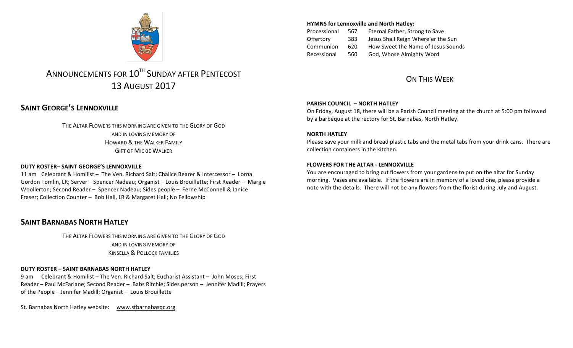

# ANNOUNCEMENTS FOR 10<sup>TH</sup> SUNDAY AFTER PENTECOST 13 AUGUST 2017

# **SAINT GEORGE'S LENNOXVILLE**

THE ALTAR FLOWERS THIS MORNING ARE GIVEN TO THE GLORY OF GOD AND IN LOVING MEMORY OF HOWARD & THE WALKER FAMILY **GIFT OF MICKIE WALKER** 

### **DUTY ROSTER– SAINT GEORGE'S LENNOXVILLE**

11 am Celebrant & Homilist - The Ven. Richard Salt; Chalice Bearer & Intercessor - Lorna Gordon Tomlin, LR; Server – Spencer Nadeau; Organist – Louis Brouillette; First Reader – Margie Woollerton; Second Reader - Spencer Nadeau; Sides people - Ferne McConnell & Janice Fraser; Collection Counter - Bob Hall, LR & Margaret Hall; No Fellowship

## **SAINT BARNABAS NORTH HATLEY**

THE ALTAR FLOWERS THIS MORNING ARE GIVEN TO THE GLORY OF GOD AND IN LOVING MEMORY OF **KINSELLA & POLLOCK FAMILIES** 

### **DUTY ROSTER – SAINT BARNABAS NORTH HATLEY**

9 am Celebrant & Homilist – The Ven. Richard Salt; Eucharist Assistant – John Moses; First Reader – Paul McFarlane; Second Reader – Babs Ritchie; Sides person – Jennifer Madill; Prayers of the People  $-$  Jennifer Madill; Organist  $-$  Louis Brouillette

St. Barnabas North Hatley website: www.stbarnabasqc.org

### **HYMNS for Lennoxville and North Hatley:**

Processional 567 Eternal Father, Strong to Save Offertory 383 Jesus Shall Reign Where'er the Sun Communion 620 How Sweet the Name of Jesus Sounds Recessional 560 God, Whose Almighty Word

# ON THIS WFFK

#### **PARISH COUNCIL – NORTH HATLEY**

On Friday, August 18, there will be a Parish Council meeting at the church at 5:00 pm followed by a barbeque at the rectory for St. Barnabas, North Hatley.

#### **NORTH HATLEY**

Please save your milk and bread plastic tabs and the metal tabs from your drink cans. There are collection containers in the kitchen.

#### **FLOWERS FOR THE ALTAR - LENNOXVILLE**

You are encouraged to bring cut flowers from your gardens to put on the altar for Sunday morning. Vases are available. If the flowers are in memory of a loved one, please provide a note with the details. There will not be any flowers from the florist during July and August.